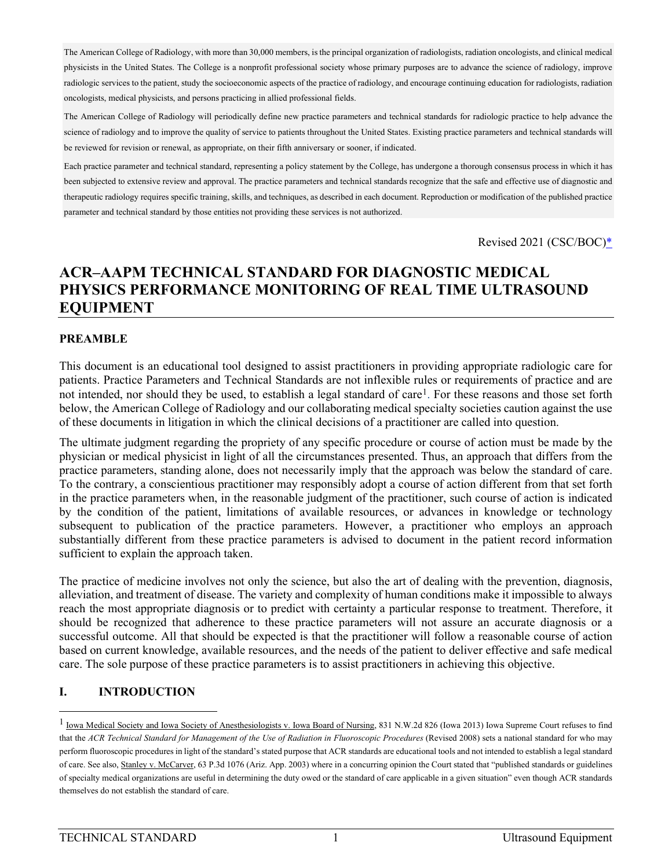The American College of Radiology, with more than 30,000 members, is the principal organization of radiologists, radiation oncologists, and clinical medical physicists in the United States. The College is a nonprofit professional society whose primary purposes are to advance the science of radiology, improve radiologic services to the patient, study the socioeconomic aspects of the practice of radiology, and encourage continuing education for radiologists, radiation oncologists, medical physicists, and persons practicing in allied professional fields.

The American College of Radiology will periodically define new practice parameters and technical standards for radiologic practice to help advance the science of radiology and to improve the quality of service to patients throughout the United States. Existing practice parameters and technical standards will be reviewed for revision or renewal, as appropriate, on their fifth anniversary or sooner, if indicated.

Each practice parameter and technical standard, representing a policy statement by the College, has undergone a thorough consensus process in which it has been subjected to extensive review and approval. The practice parameters and technical standards recognize that the safe and effective use of diagnostic and therapeutic radiology requires specific training, skills, and techniques, as described in each document. Reproduction or modification of the published practice parameter and technical standard by those entities not providing these services is not authorized.

## Revised 2021 (CSC/BOC[\)\\*](#page-8-0)

# **ACR–AAPM TECHNICAL STANDARD FOR DIAGNOSTIC MEDICAL PHYSICS PERFORMANCE MONITORING OF REAL TIME ULTRASOUND EQUIPMENT**

#### **PREAMBLE**

This document is an educational tool designed to assist practitioners in providing appropriate radiologic care for patients. Practice Parameters and Technical Standards are not inflexible rules or requirements of practice and are not intended, nor should they be used, to establish a legal standard of care<sup>[1](#page-0-0)</sup>. For these reasons and those set forth below, the American College of Radiology and our collaborating medical specialty societies caution against the use of these documents in litigation in which the clinical decisions of a practitioner are called into question.

The ultimate judgment regarding the propriety of any specific procedure or course of action must be made by the physician or medical physicist in light of all the circumstances presented. Thus, an approach that differs from the practice parameters, standing alone, does not necessarily imply that the approach was below the standard of care. To the contrary, a conscientious practitioner may responsibly adopt a course of action different from that set forth in the practice parameters when, in the reasonable judgment of the practitioner, such course of action is indicated by the condition of the patient, limitations of available resources, or advances in knowledge or technology subsequent to publication of the practice parameters. However, a practitioner who employs an approach substantially different from these practice parameters is advised to document in the patient record information sufficient to explain the approach taken.

The practice of medicine involves not only the science, but also the art of dealing with the prevention, diagnosis, alleviation, and treatment of disease. The variety and complexity of human conditions make it impossible to always reach the most appropriate diagnosis or to predict with certainty a particular response to treatment. Therefore, it should be recognized that adherence to these practice parameters will not assure an accurate diagnosis or a successful outcome. All that should be expected is that the practitioner will follow a reasonable course of action based on current knowledge, available resources, and the needs of the patient to deliver effective and safe medical care. The sole purpose of these practice parameters is to assist practitioners in achieving this objective.

#### **I. INTRODUCTION**

<span id="page-0-0"></span><sup>&</sup>lt;sup>1</sup> Iowa Medical Society and Iowa Society of Anesthesiologists v. Iowa Board of Nursing, 831 N.W.2d 826 (Iowa 2013) Iowa Supreme Court refuses to find that the *ACR Technical Standard for Management of the Use of Radiation in Fluoroscopic Procedures* (Revised 2008) sets a national standard for who may perform fluoroscopic procedures in light of the standard's stated purpose that ACR standards are educational tools and not intended to establish a legal standard of care. See also, Stanley v. McCarver, 63 P.3d 1076 (Ariz. App. 2003) where in a concurring opinion the Court stated that "published standards or guidelines of specialty medical organizations are useful in determining the duty owed or the standard of care applicable in a given situation" even though ACR standards themselves do not establish the standard of care.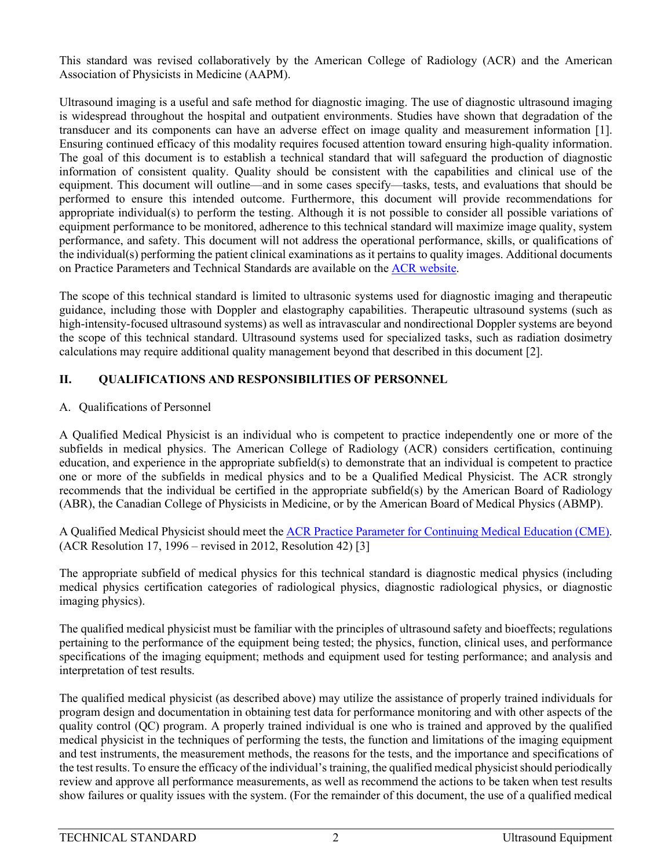This standard was revised collaboratively by the American College of Radiology (ACR) and the American Association of Physicists in Medicine (AAPM).

Ultrasound imaging is a useful and safe method for diagnostic imaging. The use of diagnostic ultrasound imaging is widespread throughout the hospital and outpatient environments. Studies have shown that degradation of the transducer and its components can have an adverse effect on image quality and measurement information [\[1\]](#page-6-0). Ensuring continued efficacy of this modality requires focused attention toward ensuring high-quality information. The goal of this document is to establish a technical standard that will safeguard the production of diagnostic information of consistent quality. Quality should be consistent with the capabilities and clinical use of the equipment. This document will outline—and in some cases specify—tasks, tests, and evaluations that should be performed to ensure this intended outcome. Furthermore, this document will provide recommendations for appropriate individual(s) to perform the testing. Although it is not possible to consider all possible variations of equipment performance to be monitored, adherence to this technical standard will maximize image quality, system performance, and safety. This document will not address the operational performance, skills, or qualifications of the individual(s) performing the patient clinical examinations as it pertains to quality images. Additional documents on Practice Parameters and Technical Standards are available on the [ACR website.](https://www.acr.org/Clinical-Resources/Practice-Parameters-and-Technical-Standards)

The scope of this technical standard is limited to ultrasonic systems used for diagnostic imaging and therapeutic guidance, including those with Doppler and elastography capabilities. Therapeutic ultrasound systems (such as high-intensity-focused ultrasound systems) as well as intravascular and nondirectional Doppler systems are beyond the scope of this technical standard. Ultrasound systems used for specialized tasks, such as radiation dosimetry calculations may require additional quality management beyond that described in this document [\[2\]](#page-6-1).

# **II. QUALIFICATIONS AND RESPONSIBILITIES OF PERSONNEL**

## A. Qualifications of Personnel

A Qualified Medical Physicist is an individual who is competent to practice independently one or more of the subfields in medical physics. The American College of Radiology (ACR) considers certification, continuing education, and experience in the appropriate subfield(s) to demonstrate that an individual is competent to practice one or more of the subfields in medical physics and to be a Qualified Medical Physicist. The ACR strongly recommends that the individual be certified in the appropriate subfield(s) by the American Board of Radiology (ABR), the Canadian College of Physicists in Medicine, or by the American Board of Medical Physics (ABMP).

A Qualified Medical Physicist should meet the [ACR Practice Parameter for Continuing Medical Education \(CME\).](https://www.acr.org/-/media/ACR/Files/Practice-Parameters/CME.pdf?la=en) (ACR Resolution 17, 1996 – revised in 2012, Resolution 42) [\[3\]](#page-6-2)

The appropriate subfield of medical physics for this technical standard is diagnostic medical physics (including medical physics certification categories of radiological physics, diagnostic radiological physics, or diagnostic imaging physics).

The qualified medical physicist must be familiar with the principles of ultrasound safety and bioeffects; regulations pertaining to the performance of the equipment being tested; the physics, function, clinical uses, and performance specifications of the imaging equipment; methods and equipment used for testing performance; and analysis and interpretation of test results.

The qualified medical physicist (as described above) may utilize the assistance of properly trained individuals for program design and documentation in obtaining test data for performance monitoring and with other aspects of the quality control (QC) program. A properly trained individual is one who is trained and approved by the qualified medical physicist in the techniques of performing the tests, the function and limitations of the imaging equipment and test instruments, the measurement methods, the reasons for the tests, and the importance and specifications of the test results. To ensure the efficacy of the individual's training, the qualified medical physicist should periodically review and approve all performance measurements, as well as recommend the actions to be taken when test results show failures or quality issues with the system. (For the remainder of this document, the use of a qualified medical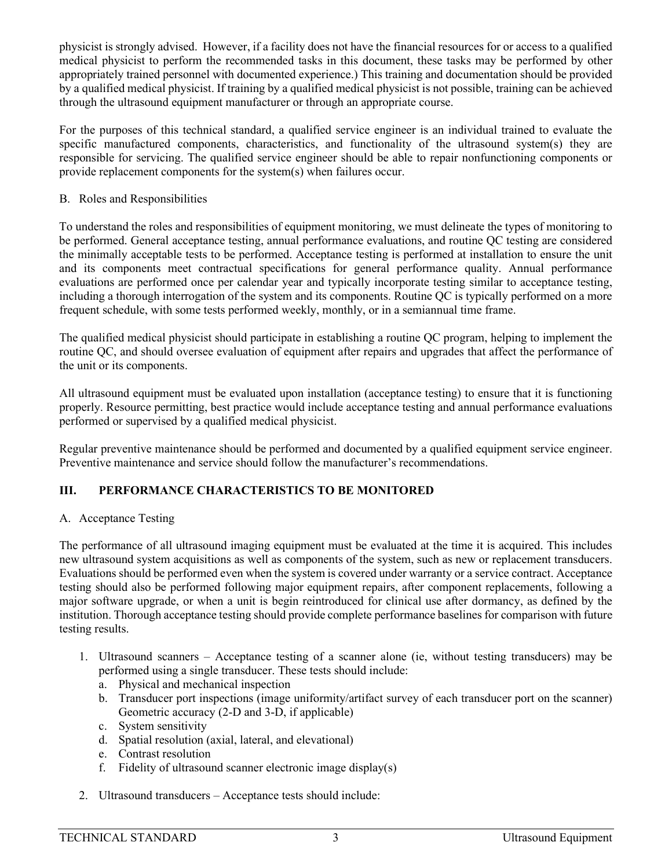physicist is strongly advised. However, if a facility does not have the financial resources for or access to a qualified medical physicist to perform the recommended tasks in this document, these tasks may be performed by other appropriately trained personnel with documented experience.) This training and documentation should be provided by a qualified medical physicist. If training by a qualified medical physicist is not possible, training can be achieved through the ultrasound equipment manufacturer or through an appropriate course.

For the purposes of this technical standard, a qualified service engineer is an individual trained to evaluate the specific manufactured components, characteristics, and functionality of the ultrasound system(s) they are responsible for servicing. The qualified service engineer should be able to repair nonfunctioning components or provide replacement components for the system(s) when failures occur.

## B. Roles and Responsibilities

To understand the roles and responsibilities of equipment monitoring, we must delineate the types of monitoring to be performed. General acceptance testing, annual performance evaluations, and routine QC testing are considered the minimally acceptable tests to be performed. Acceptance testing is performed at installation to ensure the unit and its components meet contractual specifications for general performance quality. Annual performance evaluations are performed once per calendar year and typically incorporate testing similar to acceptance testing, including a thorough interrogation of the system and its components. Routine QC is typically performed on a more frequent schedule, with some tests performed weekly, monthly, or in a semiannual time frame.

The qualified medical physicist should participate in establishing a routine QC program, helping to implement the routine QC, and should oversee evaluation of equipment after repairs and upgrades that affect the performance of the unit or its components.

All ultrasound equipment must be evaluated upon installation (acceptance testing) to ensure that it is functioning properly. Resource permitting, best practice would include acceptance testing and annual performance evaluations performed or supervised by a qualified medical physicist.

Regular preventive maintenance should be performed and documented by a qualified equipment service engineer. Preventive maintenance and service should follow the manufacturer's recommendations.

# **III. PERFORMANCE CHARACTERISTICS TO BE MONITORED**

## A. Acceptance Testing

The performance of all ultrasound imaging equipment must be evaluated at the time it is acquired. This includes new ultrasound system acquisitions as well as components of the system, such as new or replacement transducers. Evaluations should be performed even when the system is covered under warranty or a service contract. Acceptance testing should also be performed following major equipment repairs, after component replacements, following a major software upgrade, or when a unit is begin reintroduced for clinical use after dormancy, as defined by the institution. Thorough acceptance testing should provide complete performance baselines for comparison with future testing results.

- 1. Ultrasound scanners Acceptance testing of a scanner alone (ie, without testing transducers) may be performed using a single transducer. These tests should include:
	- a. Physical and mechanical inspection
	- b. Transducer port inspections (image uniformity/artifact survey of each transducer port on the scanner) Geometric accuracy (2-D and 3-D, if applicable)
	- c. System sensitivity
	- d. Spatial resolution (axial, lateral, and elevational)
	- e. Contrast resolution
	- f. Fidelity of ultrasound scanner electronic image display(s)
- 2. Ultrasound transducers Acceptance tests should include: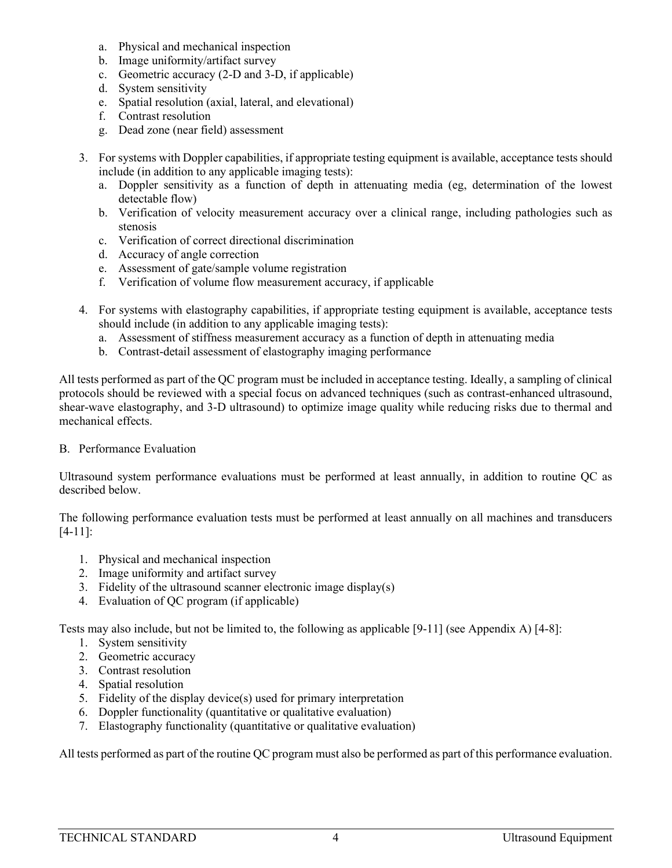- a. Physical and mechanical inspection
- b. Image uniformity/artifact survey
- c. Geometric accuracy (2-D and 3-D, if applicable)
- d. System sensitivity
- e. Spatial resolution (axial, lateral, and elevational)
- f. Contrast resolution
- g. Dead zone (near field) assessment
- 3. For systems with Doppler capabilities, if appropriate testing equipment is available, acceptance tests should include (in addition to any applicable imaging tests):
	- a. Doppler sensitivity as a function of depth in attenuating media (eg, determination of the lowest detectable flow)
	- b. Verification of velocity measurement accuracy over a clinical range, including pathologies such as stenosis
	- c. Verification of correct directional discrimination
	- d. Accuracy of angle correction
	- e. Assessment of gate/sample volume registration
	- f. Verification of volume flow measurement accuracy, if applicable
- 4. For systems with elastography capabilities, if appropriate testing equipment is available, acceptance tests should include (in addition to any applicable imaging tests):
	- a. Assessment of stiffness measurement accuracy as a function of depth in attenuating media
	- b. Contrast-detail assessment of elastography imaging performance

All tests performed as part of the QC program must be included in acceptance testing. Ideally, a sampling of clinical protocols should be reviewed with a special focus on advanced techniques (such as contrast-enhanced ultrasound, shear-wave elastography, and 3-D ultrasound) to optimize image quality while reducing risks due to thermal and mechanical effects.

B. Performance Evaluation

Ultrasound system performance evaluations must be performed at least annually, in addition to routine QC as described below.

The following performance evaluation tests must be performed at least annually on all machines and transducers [\[4-11\]](#page-6-3):

- 1. Physical and mechanical inspection
- 2. Image uniformity and artifact survey
- 3. Fidelity of the ultrasound scanner electronic image display(s)
- 4. Evaluation of QC program (if applicable)

Tests may also include, but not be limited to, the following as applicable [\[9-11\]](#page-6-4) (see Appendix A) [\[4-8\]](#page-6-3):

- 1. System sensitivity
- 2. Geometric accuracy
- 3. Contrast resolution
- 4. Spatial resolution
- 5. Fidelity of the display device(s) used for primary interpretation
- 6. Doppler functionality (quantitative or qualitative evaluation)
- 7. Elastography functionality (quantitative or qualitative evaluation)

All tests performed as part of the routine QC program must also be performed as part of this performance evaluation.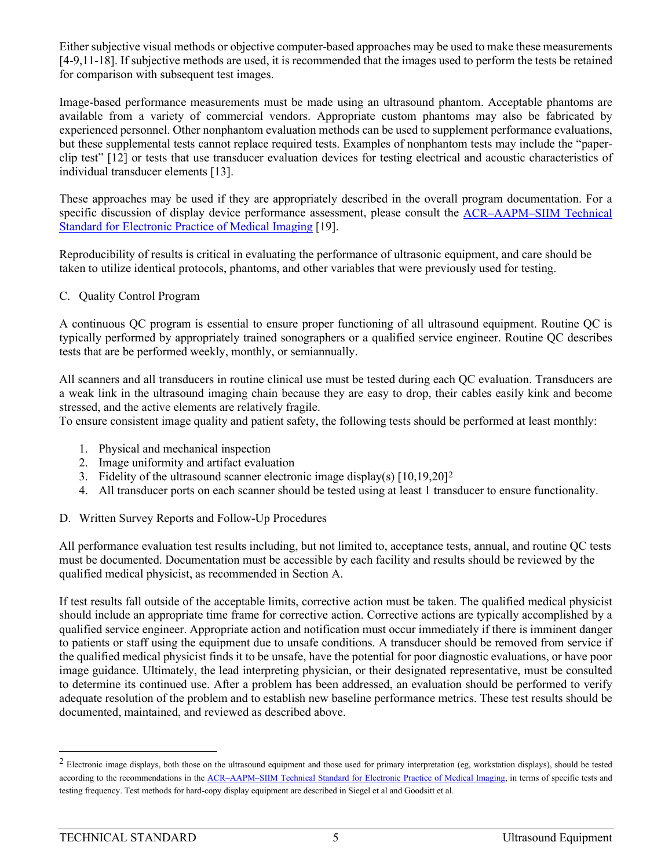Either subjective visual methods or objective computer-based approaches may be used to make these measurements [\[4-9,](#page-6-3)[11-18\]](#page-6-5). If subjective methods are used, it is recommended that the images used to perform the tests be retained for comparison with subsequent test images.

Image-based performance measurements must be made using an ultrasound phantom. Acceptable phantoms are available from a variety of commercial vendors. Appropriate custom phantoms may also be fabricated by experienced personnel. Other nonphantom evaluation methods can be used to supplement performance evaluations, but these supplemental tests cannot replace required tests. Examples of nonphantom tests may include the "paperclip test" [\[12\]](#page-6-6) or tests that use transducer evaluation devices for testing electrical and acoustic characteristics of individual transducer elements [\[13\]](#page-6-7).

These approaches may be used if they are appropriately described in the overall program documentation. For a specific discussion of display device performance assessment, please consult the [ACR–AAPM–SIIM](https://www.acr.org/-/media/ACR/Files/Practice-Parameters/Elec-Practice-MedImag.pdf?la=en) [Technical](https://www.acr.org/-/media/ACR/Files/Practice-Parameters/Elec-Practice-MedImag.pdf?la=en)  [Standard for Electronic Practice of Medical Imaging](https://www.acr.org/-/media/ACR/Files/Practice-Parameters/Elec-Practice-MedImag.pdf?la=en) [\[19\]](#page-7-0).

Reproducibility of results is critical in evaluating the performance of ultrasonic equipment, and care should be taken to utilize identical protocols, phantoms, and other variables that were previously used for testing.

## C. Quality Control Program

A continuous QC program is essential to ensure proper functioning of all ultrasound equipment. Routine QC is typically performed by appropriately trained sonographers or a qualified service engineer. Routine QC describes tests that are be performed weekly, monthly, or semiannually.

All scanners and all transducers in routine clinical use must be tested during each QC evaluation. Transducers are a weak link in the ultrasound imaging chain because they are easy to drop, their cables easily kink and become stressed, and the active elements are relatively fragile.

To ensure consistent image quality and patient safety, the following tests should be performed at least monthly:

- 1. Physical and mechanical inspection
- 2. Image uniformity and artifact evaluation
- 3. Fidelity of the ultrasound scanner electronic image display(s) [\[10](#page-6-8)[,19](#page-7-0)[,20\]](#page-7-1)[2](#page-4-0)
- 4. All transducer ports on each scanner should be tested using at least 1 transducer to ensure functionality.

# D. Written Survey Reports and Follow-Up Procedures

All performance evaluation test results including, but not limited to, acceptance tests, annual, and routine QC tests must be documented. Documentation must be accessible by each facility and results should be reviewed by the qualified medical physicist, as recommended in Section A.

If test results fall outside of the acceptable limits, corrective action must be taken. The qualified medical physicist should include an appropriate time frame for corrective action. Corrective actions are typically accomplished by a qualified service engineer. Appropriate action and notification must occur immediately if there is imminent danger to patients or staff using the equipment due to unsafe conditions. A transducer should be removed from service if the qualified medical physicist finds it to be unsafe, have the potential for poor diagnostic evaluations, or have poor image guidance. Ultimately, the lead interpreting physician, or their designated representative, must be consulted to determine its continued use. After a problem has been addressed, an evaluation should be performed to verify adequate resolution of the problem and to establish new baseline performance metrics. These test results should be documented, maintained, and reviewed as described above.

<span id="page-4-0"></span> $2$  Electronic image displays, both those on the ultrasound equipment and those used for primary interpretation (eg, workstation displays), should be tested according to the recommendations in the [ACR–AAPM–SIIM Technical Standard for Electronic Practice of Medical Imaging,](https://www.acr.org/-/media/ACR/Files/Practice-Parameters/Elec-Practice-MedImag.pdf?la=en) in terms of specific tests and testing frequency. Test methods for hard-copy display equipment are described in Siegel et al and Goodsitt et al.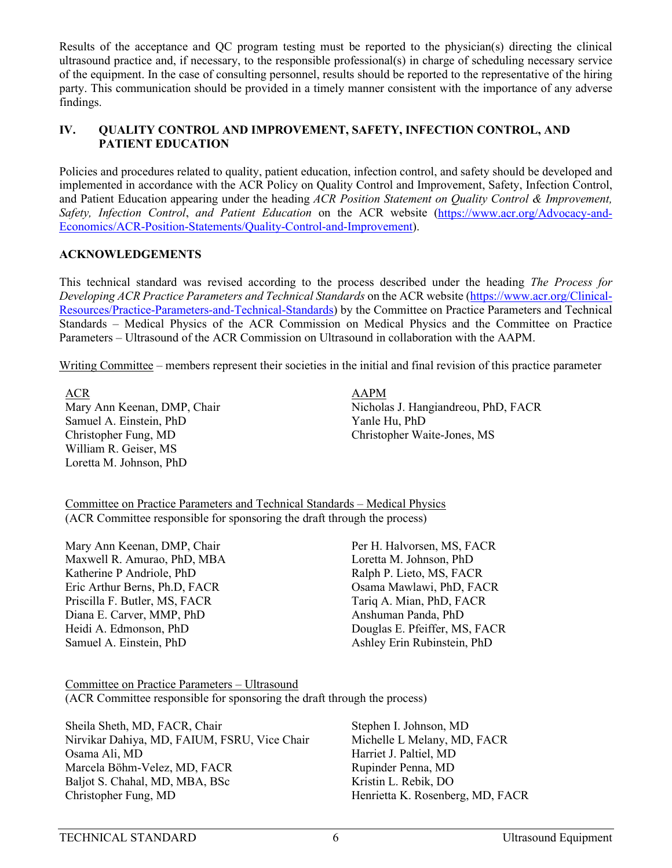Results of the acceptance and QC program testing must be reported to the physician(s) directing the clinical ultrasound practice and, if necessary, to the responsible professional(s) in charge of scheduling necessary service of the equipment. In the case of consulting personnel, results should be reported to the representative of the hiring party. This communication should be provided in a timely manner consistent with the importance of any adverse findings.

## **IV. QUALITY CONTROL AND IMPROVEMENT, SAFETY, INFECTION CONTROL, AND PATIENT EDUCATION**

Policies and procedures related to quality, patient education, infection control, and safety should be developed and implemented in accordance with the ACR Policy on Quality Control and Improvement, Safety, Infection Control, and Patient Education appearing under the heading *ACR Position Statement on Quality Control & Improvement, Safety, Infection Control*, *and Patient Education* on the ACR website [\(https://www.acr.org/Advocacy-and-](https://www.acr.org/Advocacy-and-Economics/ACR-Position-Statements/Quality-Control-and-Improvement)[Economics/ACR-Position-Statements/Quality-Control-and-Improvement\)](https://www.acr.org/Advocacy-and-Economics/ACR-Position-Statements/Quality-Control-and-Improvement).

#### **ACKNOWLEDGEMENTS**

This technical standard was revised according to the process described under the heading *The Process for Developing ACR Practice Parameters and Technical Standards* on the ACR website [\(https://www.acr.org/Clinical-](https://www.acr.org/Clinical-Resources/Practice-Parameters-and-Technical-Standards)[Resources/Practice-Parameters-and-Technical-Standards\)](https://www.acr.org/Clinical-Resources/Practice-Parameters-and-Technical-Standards) by the Committee on Practice Parameters and Technical Standards – Medical Physics of the ACR Commission on Medical Physics and the Committee on Practice Parameters – Ultrasound of the ACR Commission on Ultrasound in collaboration with the AAPM.

Writing Committee – members represent their societies in the initial and final revision of this practice parameter

ACR AAPM Samuel A. Einstein, PhD Yanle Hu, PhD Christopher Fung, MD Christopher Waite-Jones, MS William R. Geiser, MS Loretta M. Johnson, PhD

Mary Ann Keenan, DMP, Chair Nicholas J. Hangiandreou, PhD, FACR

Committee on Practice Parameters and Technical Standards – Medical Physics (ACR Committee responsible for sponsoring the draft through the process)

Mary Ann Keenan, DMP, Chair Per H. Halvorsen, MS, FACR Maxwell R. Amurao, PhD, MBA Loretta M. Johnson, PhD Katherine P Andriole, PhD Ralph P. Lieto, MS, FACR Eric Arthur Berns, Ph.D, FACR Osama Mawlawi, PhD, FACR Priscilla F. Butler, MS, FACR Tariq A. Mian, PhD, FACR Diana E. Carver, MMP, PhD Anshuman Panda, PhD Heidi A. Edmonson, PhD Douglas E. Pfeiffer, MS, FACR Samuel A. Einstein, PhD **Ashley Erin Rubinstein, PhD** Ashley Erin Rubinstein, PhD

Committee on Practice Parameters – Ultrasound (ACR Committee responsible for sponsoring the draft through the process)

Sheila Sheth, MD, FACR, Chair Stephen I. Johnson, MD Nirvikar Dahiya, MD, FAIUM, FSRU, Vice Chair Michelle L Melany, MD, FACR Osama Ali, MD Harriet J. Paltiel, MD Marcela Böhm-Velez, MD, FACR Rupinder Penna, MD Baljot S. Chahal, MD, MBA, BSc Kristin L. Rebik, DO Christopher Fung, MD Henrietta K. Rosenberg, MD, FACR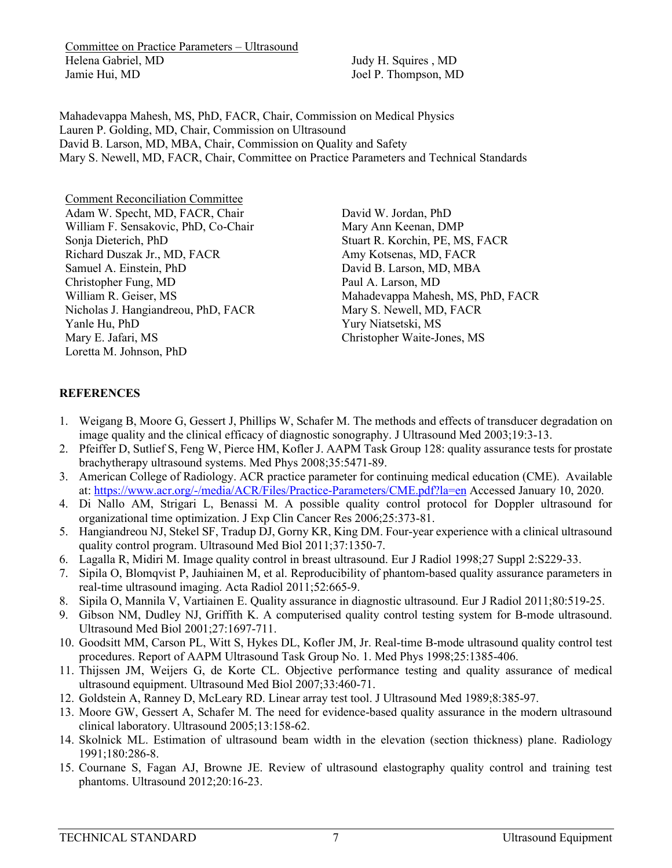Committee on Practice Parameters – Ultrasound Helena Gabriel, MD Judy H. Squires , MD Jamie Hui, MD Joel P. Thompson, MD

Mahadevappa Mahesh, MS, PhD, FACR, Chair, Commission on Medical Physics Lauren P. Golding, MD, Chair, Commission on Ultrasound David B. Larson, MD, MBA, Chair, Commission on Quality and Safety Mary S. Newell, MD, FACR, Chair, Committee on Practice Parameters and Technical Standards

Comment Reconciliation Committee Adam W. Specht, MD, FACR, Chair David W. Jordan, PhD William F. Sensakovic, PhD, Co-Chair Mary Ann Keenan, DMP Sonja Dieterich, PhD Stuart R. Korchin, PE, MS, FACR Richard Duszak Jr., MD, FACR Amy Kotsenas, MD, FACR Samuel A. Einstein, PhD David B. Larson, MD, MBA Christopher Fung, MD Paul A. Larson, MD Nicholas J. Hangiandreou, PhD, FACR Mary S. Newell, MD, FACR Yanle Hu, PhD Yury Niatsetski, MS Mary E. Jafari, MS Christopher Waite-Jones, MS Loretta M. Johnson, PhD

William R. Geiser, MS Mahadevappa Mahesh, MS, PhD, FACR

## **REFERENCES**

- <span id="page-6-0"></span>1. Weigang B, Moore G, Gessert J, Phillips W, Schafer M. The methods and effects of transducer degradation on image quality and the clinical efficacy of diagnostic sonography. J Ultrasound Med 2003;19:3-13.
- <span id="page-6-1"></span>2. Pfeiffer D, Sutlief S, Feng W, Pierce HM, Kofler J. AAPM Task Group 128: quality assurance tests for prostate brachytherapy ultrasound systems. Med Phys 2008;35:5471-89.
- <span id="page-6-2"></span>3. American College of Radiology. ACR practice parameter for continuing medical education (CME). Available at[: https://www.acr.org/-/media/ACR/Files/Practice-Parameters/CME.pdf?la=en](https://www.acr.org/-/media/ACR/Files/Practice-Parameters/CME.pdf?la=en) Accessed January 10, 2020.
- <span id="page-6-3"></span>4. Di Nallo AM, Strigari L, Benassi M. A possible quality control protocol for Doppler ultrasound for organizational time optimization. J Exp Clin Cancer Res 2006;25:373-81.
- 5. Hangiandreou NJ, Stekel SF, Tradup DJ, Gorny KR, King DM. Four-year experience with a clinical ultrasound quality control program. Ultrasound Med Biol 2011;37:1350-7.
- 6. Lagalla R, Midiri M. Image quality control in breast ultrasound. Eur J Radiol 1998;27 Suppl 2:S229-33.
- 7. Sipila O, Blomqvist P, Jauhiainen M, et al. Reproducibility of phantom-based quality assurance parameters in real-time ultrasound imaging. Acta Radiol 2011;52:665-9.
- 8. Sipila O, Mannila V, Vartiainen E. Quality assurance in diagnostic ultrasound. Eur J Radiol 2011;80:519-25.
- <span id="page-6-4"></span>9. Gibson NM, Dudley NJ, Griffith K. A computerised quality control testing system for B-mode ultrasound. Ultrasound Med Biol 2001;27:1697-711.
- <span id="page-6-8"></span>10. Goodsitt MM, Carson PL, Witt S, Hykes DL, Kofler JM, Jr. Real-time B-mode ultrasound quality control test procedures. Report of AAPM Ultrasound Task Group No. 1. Med Phys 1998;25:1385-406.
- <span id="page-6-5"></span>11. Thijssen JM, Weijers G, de Korte CL. Objective performance testing and quality assurance of medical ultrasound equipment. Ultrasound Med Biol 2007;33:460-71.
- <span id="page-6-6"></span>12. Goldstein A, Ranney D, McLeary RD. Linear array test tool. J Ultrasound Med 1989;8:385-97.
- <span id="page-6-7"></span>13. Moore GW, Gessert A, Schafer M. The need for evidence-based quality assurance in the modern ultrasound clinical laboratory. Ultrasound 2005;13:158-62.
- 14. Skolnick ML. Estimation of ultrasound beam width in the elevation (section thickness) plane. Radiology 1991;180:286-8.
- 15. Cournane S, Fagan AJ, Browne JE. Review of ultrasound elastography quality control and training test phantoms. Ultrasound 2012;20:16-23.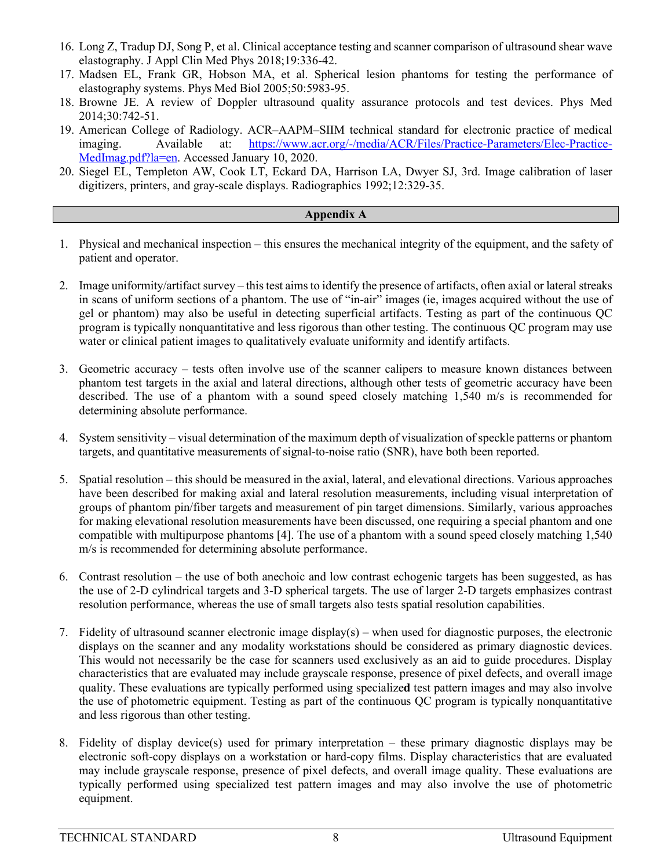- 16. Long Z, Tradup DJ, Song P, et al. Clinical acceptance testing and scanner comparison of ultrasound shear wave elastography. J Appl Clin Med Phys 2018;19:336-42.
- 17. Madsen EL, Frank GR, Hobson MA, et al. Spherical lesion phantoms for testing the performance of elastography systems. Phys Med Biol 2005;50:5983-95.
- 18. Browne JE. A review of Doppler ultrasound quality assurance protocols and test devices. Phys Med 2014;30:742-51.
- <span id="page-7-0"></span>19. American College of Radiology. ACR–AAPM–SIIM technical standard for electronic practice of medical imaging. Available at: [https://www.acr.org/-/media/ACR/Files/Practice-Parameters/Elec-Practice-](https://www.acr.org/-/media/ACR/Files/Practice-Parameters/Elec-Practice-MedImag.pdf?la=en)[MedImag.pdf?la=en.](https://www.acr.org/-/media/ACR/Files/Practice-Parameters/Elec-Practice-MedImag.pdf?la=en) Accessed January 10, 2020.
- <span id="page-7-1"></span>20. Siegel EL, Templeton AW, Cook LT, Eckard DA, Harrison LA, Dwyer SJ, 3rd. Image calibration of laser digitizers, printers, and gray-scale displays. Radiographics 1992;12:329-35.

#### **Appendix A**

- 1. Physical and mechanical inspection this ensures the mechanical integrity of the equipment, and the safety of patient and operator.
- 2. Image uniformity/artifact survey this test aims to identify the presence of artifacts, often axial or lateral streaks in scans of uniform sections of a phantom. The use of "in-air" images (ie, images acquired without the use of gel or phantom) may also be useful in detecting superficial artifacts. Testing as part of the continuous QC program is typically nonquantitative and less rigorous than other testing. The continuous QC program may use water or clinical patient images to qualitatively evaluate uniformity and identify artifacts.
- 3. Geometric accuracy tests often involve use of the scanner calipers to measure known distances between phantom test targets in the axial and lateral directions, although other tests of geometric accuracy have been described. The use of a phantom with a sound speed closely matching 1,540 m/s is recommended for determining absolute performance.
- 4. System sensitivity visual determination of the maximum depth of visualization of speckle patterns or phantom targets, and quantitative measurements of signal-to-noise ratio (SNR), have both been reported.
- 5. Spatial resolution this should be measured in the axial, lateral, and elevational directions. Various approaches have been described for making axial and lateral resolution measurements, including visual interpretation of groups of phantom pin/fiber targets and measurement of pin target dimensions. Similarly, various approaches for making elevational resolution measurements have been discussed, one requiring a special phantom and one compatible with multipurpose phantoms [4]. The use of a phantom with a sound speed closely matching 1,540 m/s is recommended for determining absolute performance.
- 6. Contrast resolution the use of both anechoic and low contrast echogenic targets has been suggested, as has the use of 2-D cylindrical targets and 3-D spherical targets. The use of larger 2-D targets emphasizes contrast resolution performance, whereas the use of small targets also tests spatial resolution capabilities.
- 7. Fidelity of ultrasound scanner electronic image display(s) when used for diagnostic purposes, the electronic displays on the scanner and any modality workstations should be considered as primary diagnostic devices. This would not necessarily be the case for scanners used exclusively as an aid to guide procedures. Display characteristics that are evaluated may include grayscale response, presence of pixel defects, and overall image quality. These evaluations are typically performed using specialize**d** test pattern images and may also involve the use of photometric equipment. Testing as part of the continuous QC program is typically nonquantitative and less rigorous than other testing.
- 8. Fidelity of display device(s) used for primary interpretation these primary diagnostic displays may be electronic soft-copy displays on a workstation or hard-copy films. Display characteristics that are evaluated may include grayscale response, presence of pixel defects, and overall image quality. These evaluations are typically performed using specialized test pattern images and may also involve the use of photometric equipment.